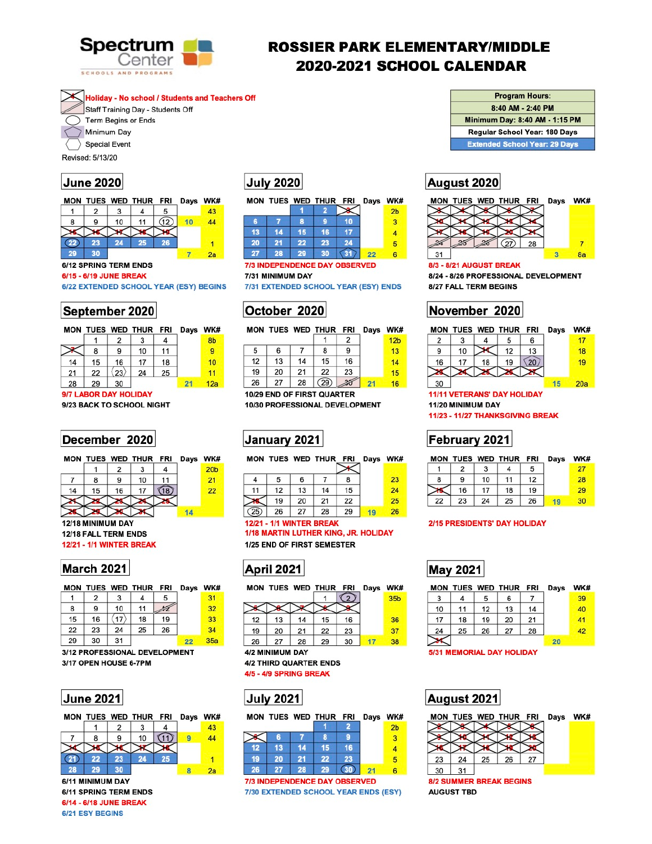

# **ROSSIER PARK ELEMENTARY/MIDDLE** 2020-2021 SCHOOL CALENDAR

**Holiday - No school / Students and Teachers Off** 

Staff Training Day - Students Off

Term Begins or Ends

Minimum Day

**Special Event** 

Revised: 5/13/20

### **June 2020**

MON TUES WED THUR FRI Days WK#

2 3 5  $\mathbf{1}$ 4 43 11  $(12)$ 8 9 10  $10$ 44  $22)$ 23 24 25 26  $\overline{1}$ 29 30  $7\phantom{.0}$  $2a$ 

### **6/12 SPRING TERM ENDS**

#### 6/15 - 6/19 JUNE BREAK

6/22 EXTENDED SCHOOL YEAR (ESY) BEGINS

### September 2020

|    |    |                | MON TUES WED THUR FRI Days WK# |    |     |
|----|----|----------------|--------------------------------|----|-----|
|    |    | $\overline{2}$ |                                |    | 8b  |
|    | 8  | 9              | 10                             | 11 |     |
| 14 | 15 | 16             | 17                             | 18 | 10  |
| 21 | 22 | $23\rangle$    | 24                             | 25 | 11  |
| 28 | 29 | 30             |                                |    | 12a |

#### 9/7 LABOR DAY HOLIDAY

9/23 BACK TO SCHOOL NIGHT

### December 2020

|  | MON TUES WED THUR FRI Days WK |  |                 |
|--|-------------------------------|--|-----------------|
|  | $1 \mid 2 \mid 3 \mid$        |  | 20 <sub>t</sub> |
|  | $140$ $14$                    |  |                 |

# **July 2020**

|    |    |    |    | MON TUES WED THUR FRI Days WK |                |
|----|----|----|----|-------------------------------|----------------|
|    |    |    |    |                               | 2 <sub>b</sub> |
| B  |    | 8  |    | 10                            |                |
| 13 | 14 | 15 | 16 |                               |                |
| 20 | 21 | 22 | 23 | 24                            |                |
|    | 28 | 29 | 30 |                               |                |

#### **7/3 INDEPENDENCE DAY OBSERVED**

7/31 MINIMUM DAY

7/31 EXTENDED SCHOOL YEAR (ESY) ENDS

## October 2020

|    |    |    | MON TUES WED THUR FRI |    | Days | WK#             |
|----|----|----|-----------------------|----|------|-----------------|
|    |    |    |                       |    |      | 12 <sub>b</sub> |
| 5  | 6  |    | 8                     | 9  |      | 13              |
| 12 | 13 | 14 | 15                    | 16 |      | 14              |
| 19 | 20 | 21 | 22                    | 23 |      | 15              |
| 26 | 27 | 28 | (29)                  |    | 21   | 16              |

10/29 END OF FIRST QUARTER 10/30 PROFESSIONAL DEVELOPMENT



|    |    |    | MON TUES WED THUR FRI Days |    | WK# |
|----|----|----|----------------------------|----|-----|
|    | 5  | 6  |                            | 8  | 23  |
| 11 | 12 | 13 | 14                         | 15 | 24  |
|    | 19 | 20 | 21                         | 22 | 25  |
|    |    |    | 28                         |    |     |

#### **Program Hours:**

8:40 AM - 2:40 PM

Minimum Day: 8:40 AM - 1:15 PM

Regular School Year: 180 Days

**Extended School Year: 29 Days** 

### August 2020



#### 8/3 - 8/21 AUGUST BREAK

8/24 - 8/26 PROFESSIONAL DEVELOPMENT 8/27 FALL TERM BEGINS

# November 2020



**11/11 VETERANS' DAY HOLIDAY** 11/20 MINIMUM DAY

11/23 - 11/27 THANKSGIVING BREAK

# February 2021

| <b>MON</b> |    |    | TUES WED THUR FRI |    | Days | WK# |
|------------|----|----|-------------------|----|------|-----|
|            |    |    |                   |    |      | 27  |
| 8          | 9  | 10 | 11                | 12 |      | 28  |
|            | 16 | 17 | 18                | 19 |      | 29  |
| 22         | 23 | 24 | 25                | 26 |      | 30  |



12/18 MINIMUM DAY 12/18 FALL TERM ENDS **12/21 - 1/1 WINTER BREAK** 

### March 2021

|    |    |    | MON TUES WED THUR FRI |    | Days | <b>WK#</b> |
|----|----|----|-----------------------|----|------|------------|
|    | 2  | 3  |                       | 5  |      | 31         |
| 8  | 9  | 10 | 11                    |    |      | 32         |
| 15 | 16 | 17 | 18                    | 19 |      | 33         |
| 22 | 23 | 24 | 25                    | 26 |      | 34         |
| 29 | 30 | 31 |                       |    | 22   | 35a        |

3/12 PROFESSIONAL DEVELOPMENT 3/17 OPEN HOUSE 6-7PM





6/11 MINIMUM DAY **6/11 SPRING TERM ENDS** 6/14 - 6/18 JUNE BREAK 6/21 ESY BEGINS

**12/21 - 1/1 WINTER BREAK** 1/18 MARTIN LUTHER KING, JR. HOLIDAY

1/25 END OF FIRST SEMESTER





4/2 MINIMUM DAY **4/2 THIRD QUARTER ENDS** 4/5 - 4/9 SPRING BREAK

## **July 2021**

|    |    |    | MON TUES WED THUR FRI Days WK# |           |                |
|----|----|----|--------------------------------|-----------|----------------|
|    |    |    |                                |           | 2 <sub>b</sub> |
|    | 6  |    | R                              |           | 3              |
| 12 | 13 | 14 | 15                             | 16        |                |
| 19 | 20 | 21 | 22                             | 23        | 5              |
| 26 | 27 | 28 | 29                             | <b>An</b> |                |

**7/3 INDEPENDENCE DAY OBSERVED** 7/30 EXTENDED SCHOOL YEAR ENDS (ESY)

#### **2/15 PRESIDENTS' DAY HOLIDAY**

### **May 2021**

|    |    |    | MON TUES WED THUR FRI |    | Days | WK# |
|----|----|----|-----------------------|----|------|-----|
| 3  |    | 5  | 6                     |    |      | 39  |
| 10 | 11 | 12 | 13                    | 14 |      | 40  |
| 17 | 18 | 19 | 20                    | 21 |      | 41  |
| 24 | 25 | 26 | 27                    | 28 |      | 42  |
|    |    |    |                       |    | 20   |     |

#### **5/31 MEMORIAL DAY HOLIDAY**

| August 2021 |
|-------------|
|-------------|

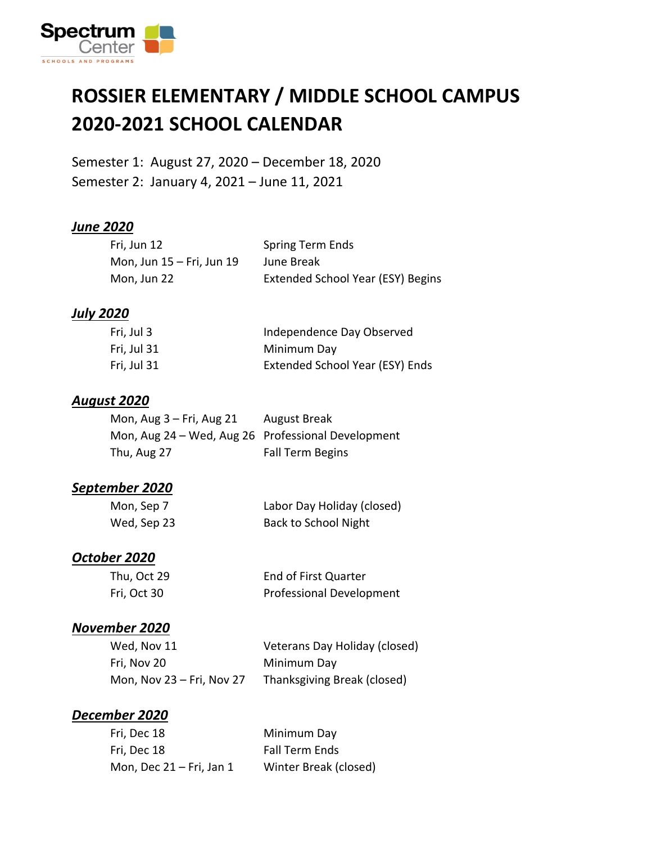

### **ROSSIER ELEMENTARY / MIDDLE SCHOOL CAMPUS 2020-2021 SCHOOL CALENDAR**

Semester 1: August 27, 2020 – December 18, 2020 Semester 2: January 4, 2021 – June 11, 2021

#### *June 2020*

| Fri, Jun 12                   | <b>Spring Term Ends</b>           |
|-------------------------------|-----------------------------------|
| Mon, Jun $15$ – Fri, Jun $19$ | June Break                        |
| Mon, Jun 22                   | Extended School Year (ESY) Begins |

#### *July 2020*

| Fri, Jul 3  | Independence Day Observed       |
|-------------|---------------------------------|
| Fri, Jul 31 | Minimum Day                     |
| Fri, Jul 31 | Extended School Year (ESY) Ends |

#### *August 2020*

| Mon, $Aug 3 - Fri$ , $Aug 21$                      | <b>August Break</b>     |
|----------------------------------------------------|-------------------------|
| Mon, Aug 24 – Wed, Aug 26 Professional Development |                         |
| Thu, Aug 27                                        | <b>Fall Term Begins</b> |

#### *September 2020*

| Mon, Sep 7  | Labor Day Holiday (closed)  |
|-------------|-----------------------------|
| Wed, Sep 23 | <b>Back to School Night</b> |

#### *October 2020*

| Thu, Oct 29 | End of First Quarter            |
|-------------|---------------------------------|
| Fri, Oct 30 | <b>Professional Development</b> |

#### *November 2020*

| Wed, Nov 11               | Veterans Day Holiday (closed) |
|---------------------------|-------------------------------|
| Fri. Nov 20               | Minimum Day                   |
| Mon, Nov 23 – Fri, Nov 27 | Thanksgiving Break (closed)   |

#### *December 2020*

| Fri, Dec 18                 | Minimum Day           |
|-----------------------------|-----------------------|
| Fri, Dec 18                 | <b>Fall Term Ends</b> |
| Mon, Dec $21 - Fri$ , Jan 1 | Winter Break (closed) |